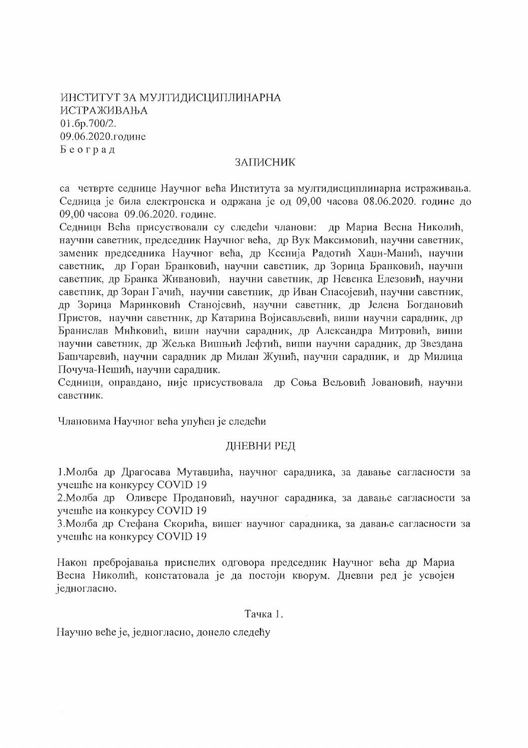ИНСТИТУТ ЗА МУЛТИДИСЦИПЛИНАРНА ИСТРАЖИВАЊА  $01.6p.700/2.$ 09.06.2020.године Београд

#### ЗАПИСНИК

са четврте седнице Научног већа Института за мултидисциплинарна истраживања. Седница је била електронска и одржана је од 09,00 часова 08.06.2020. године до 09,00 часова 09.06.2020. године.

Седници Већа присуствовали су следећи чланови: др Мариа Весна Николић, научни саветник, председник Научног већа, др Вук Максимовић, научни саветник, заменик председника Научног већа, др Ксенија Радотић Хаџи-Манић, научни саветник, др Горан Бранковић, научни саветник, др Зорица Бранковић, научни саветник, др Бранка Живановић, научни саветник, др Невенка Елезовић, научни саветник, др Зоран Гачић, научни саветник, др Иван Спасојевић, научни саветник, др Зорица Маринковић Станојевић, научни саветник, др Јелена Богдановић Пристов, научни саветник, др Катарина Војисављевић, виши научни сарадник, др Бранислав Мићковић, виши научни сарадник, др Александра Митровић, виши научни саветник, др Жељка Вишњић Јефтић, виши научни сарадник, др Звездана Башчаревић, научни сарадник др Милан Жунић, научни сарадник, и др Милица Почуча-Нешић, научни сарадник.

Седници, оправдано, није присуствовала др Соња Вељовић Јовановић, научни саветник.

Члановима Научног већа упућен је следећи

# ДНЕВНИ РЕД

1. Молба др Драгосава Мутавџића, научног сарадника, за давање сагласности за учешће на конкурсу COVID 19

2. Молба др Оливере Продановић, научног сарадника, за давање сагласности за учешће на конкурсу COVID 19

3. Молба др Стефана Скорића, вишег научног сарадника, за давање сагласности за учешће на конкурсу COVID 19

Након пребројавања приспелих одговора председник Научног већа др Мариа Весна Николић, констатовала је да постоји кворум. Дневни ред је усвојен једногласно.

Тачка 1.

Научно веће је, једногласно, донело следећу